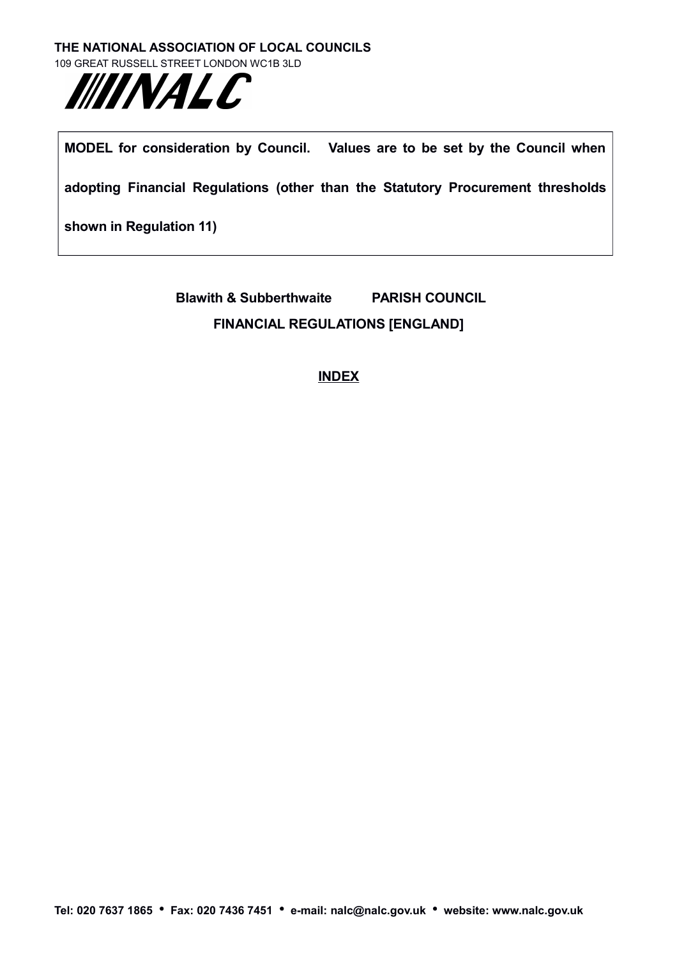#### **THE NATIONAL ASSOCIATION OF LOCAL COUNCILS** 109 GREAT RUSSELL STREET LONDON WC1B 3LD



**MODEL for consideration by Council. Values are to be set by the Council when**

**adopting Financial Regulations (other than the Statutory Procurement thresholds**

**shown in Regulation 11)**

**Blawith & Subberthwaite PARISH COUNCIL FINANCIAL REGULATIONS [ENGLAND]**

**INDEX**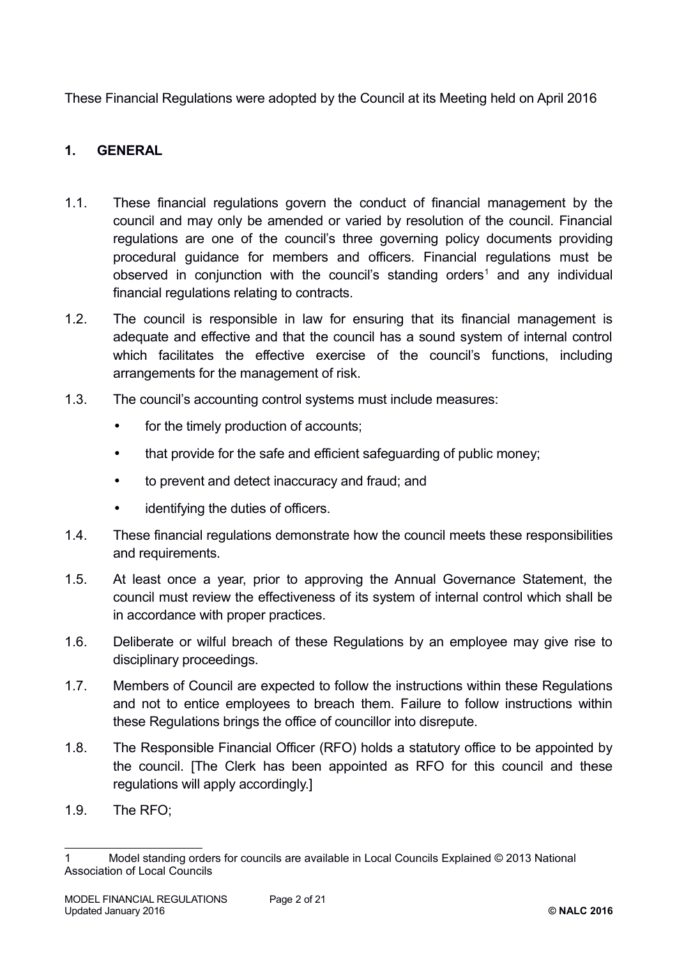These Financial Regulations were adopted by the Council at its Meeting held on April 2016

## **1. GENERAL**

- 1.1. These financial regulations govern the conduct of financial management by the council and may only be amended or varied by resolution of the council. Financial regulations are one of the council's three governing policy documents providing procedural guidance for members and officers. Financial regulations must be observed in conjunction with the council's standing orders<sup>[1](#page-1-0)</sup> and any individual financial regulations relating to contracts.
- 1.2. The council is responsible in law for ensuring that its financial management is adequate and effective and that the council has a sound system of internal control which facilitates the effective exercise of the council's functions, including arrangements for the management of risk.
- 1.3. The council's accounting control systems must include measures:
	- for the timely production of accounts;
	- that provide for the safe and efficient safeguarding of public money;
	- to prevent and detect inaccuracy and fraud; and
	- identifying the duties of officers.
- 1.4. These financial regulations demonstrate how the council meets these responsibilities and requirements.
- 1.5. At least once a year, prior to approving the Annual Governance Statement, the council must review the effectiveness of its system of internal control which shall be in accordance with proper practices.
- 1.6. Deliberate or wilful breach of these Regulations by an employee may give rise to disciplinary proceedings.
- 1.7. Members of Council are expected to follow the instructions within these Regulations and not to entice employees to breach them. Failure to follow instructions within these Regulations brings the office of councillor into disrepute.
- 1.8. The Responsible Financial Officer (RFO) holds a statutory office to be appointed by the council. [The Clerk has been appointed as RFO for this council and these regulations will apply accordingly.]
- 1.9. The RFO;

<span id="page-1-0"></span><sup>1</sup> Model standing orders for councils are available in Local Councils Explained © 2013 National Association of Local Councils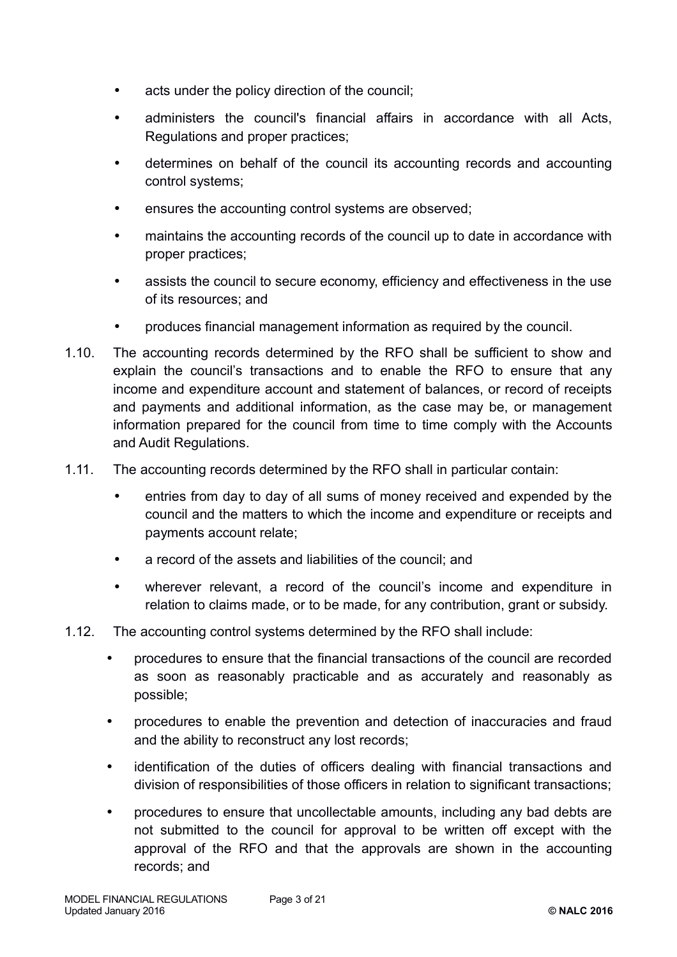- acts under the policy direction of the council;
- administers the council's financial affairs in accordance with all Acts, Regulations and proper practices;
- determines on behalf of the council its accounting records and accounting control systems;
- ensures the accounting control systems are observed;
- maintains the accounting records of the council up to date in accordance with proper practices;
- assists the council to secure economy, efficiency and effectiveness in the use of its resources; and
- produces financial management information as required by the council.
- 1.10. The accounting records determined by the RFO shall be sufficient to show and explain the council's transactions and to enable the RFO to ensure that any income and expenditure account and statement of balances, or record of receipts and payments and additional information, as the case may be, or management information prepared for the council from time to time comply with the Accounts and Audit Regulations.
- 1.11. The accounting records determined by the RFO shall in particular contain:
	- entries from day to day of all sums of money received and expended by the council and the matters to which the income and expenditure or receipts and payments account relate;
	- a record of the assets and liabilities of the council; and
	- wherever relevant, a record of the council's income and expenditure in relation to claims made, or to be made, for any contribution, grant or subsidy.
- 1.12. The accounting control systems determined by the RFO shall include:
	- procedures to ensure that the financial transactions of the council are recorded as soon as reasonably practicable and as accurately and reasonably as possible;
	- procedures to enable the prevention and detection of inaccuracies and fraud and the ability to reconstruct any lost records;
	- identification of the duties of officers dealing with financial transactions and division of responsibilities of those officers in relation to significant transactions;
	- procedures to ensure that uncollectable amounts, including any bad debts are not submitted to the council for approval to be written off except with the approval of the RFO and that the approvals are shown in the accounting records; and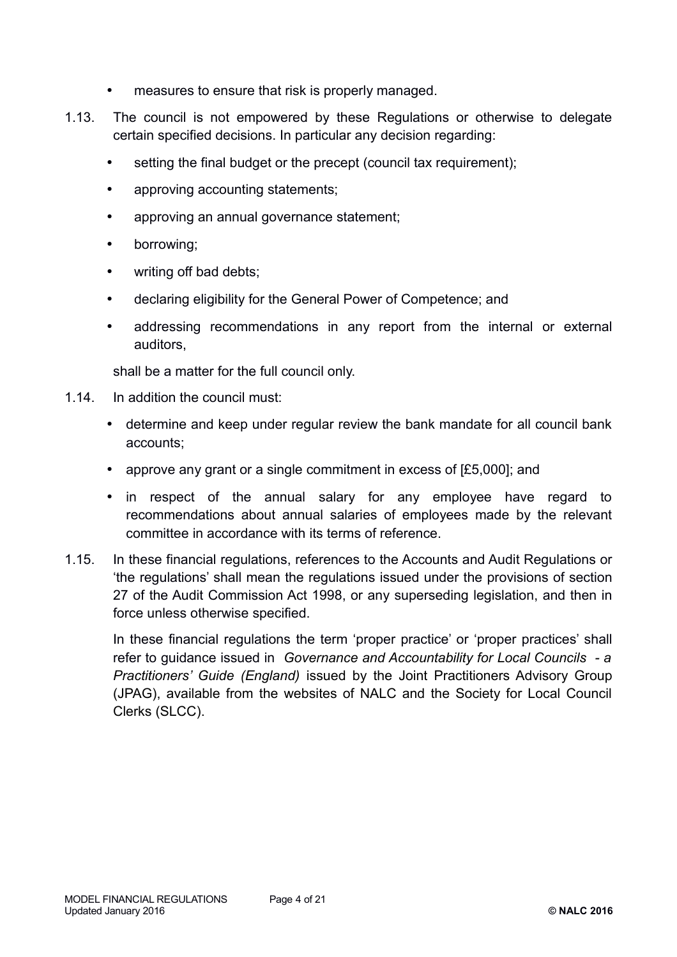- measures to ensure that risk is properly managed.
- 1.13. The council is not empowered by these Regulations or otherwise to delegate certain specified decisions. In particular any decision regarding:
	- setting the final budget or the precept (council tax requirement);
	- approving accounting statements;
	- approving an annual governance statement;
	- borrowing;
	- writing off bad debts;
	- declaring eligibility for the General Power of Competence; and
	- addressing recommendations in any report from the internal or external auditors,

shall be a matter for the full council only.

- 1.14. In addition the council must:
	- determine and keep under regular review the bank mandate for all council bank accounts;
	- approve any grant or a single commitment in excess of [£5,000]; and
	- in respect of the annual salary for any employee have regard to recommendations about annual salaries of employees made by the relevant committee in accordance with its terms of reference.
- 1.15. In these financial regulations, references to the Accounts and Audit Regulations or 'the regulations' shall mean the regulations issued under the provisions of section 27 of the Audit Commission Act 1998, or any superseding legislation, and then in force unless otherwise specified.

In these financial regulations the term 'proper practice' or 'proper practices' shall refer to guidance issued in *Governance and Accountability for Local Councils - a Practitioners' Guide (England)* issued by the Joint Practitioners Advisory Group (JPAG), available from the websites of NALC and the Society for Local Council Clerks (SLCC).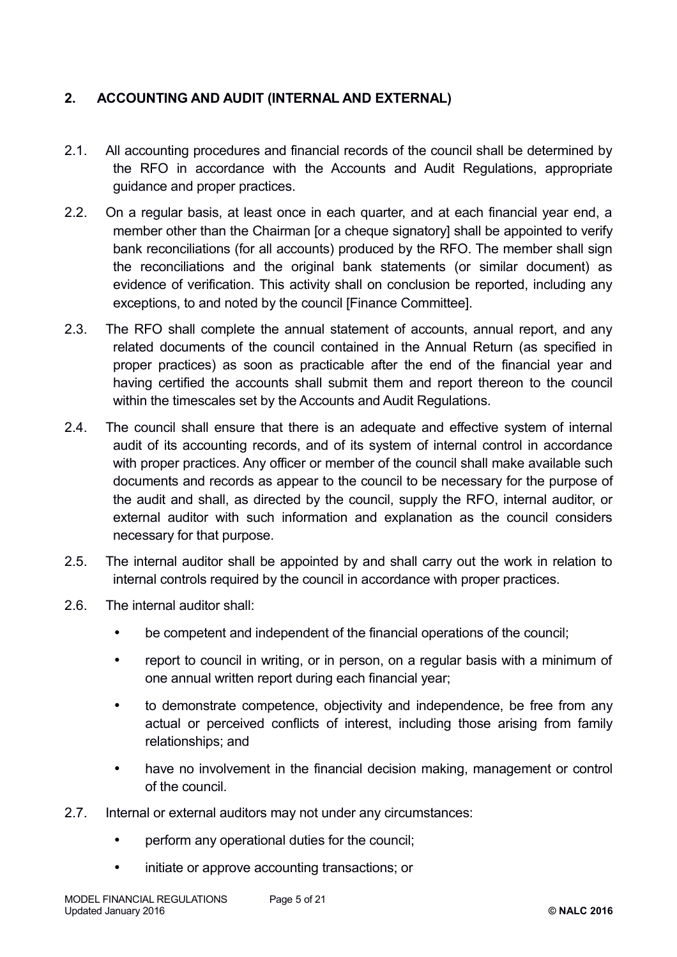# **2. ACCOUNTING AND AUDIT (INTERNAL AND EXTERNAL)**

- 2.1. All accounting procedures and financial records of the council shall be determined by the RFO in accordance with the Accounts and Audit Regulations, appropriate guidance and proper practices.
- 2.2. On a regular basis, at least once in each quarter, and at each financial year end, a member other than the Chairman for a cheque signatoryl shall be appointed to verify bank reconciliations (for all accounts) produced by the RFO. The member shall sign the reconciliations and the original bank statements (or similar document) as evidence of verification. This activity shall on conclusion be reported, including any exceptions, to and noted by the council [Finance Committee].
- 2.3. The RFO shall complete the annual statement of accounts, annual report, and any related documents of the council contained in the Annual Return (as specified in proper practices) as soon as practicable after the end of the financial year and having certified the accounts shall submit them and report thereon to the council within the timescales set by the Accounts and Audit Regulations.
- 2.4. The council shall ensure that there is an adequate and effective system of internal audit of its accounting records, and of its system of internal control in accordance with proper practices. Any officer or member of the council shall make available such documents and records as appear to the council to be necessary for the purpose of the audit and shall, as directed by the council, supply the RFO, internal auditor, or external auditor with such information and explanation as the council considers necessary for that purpose.
- 2.5. The internal auditor shall be appointed by and shall carry out the work in relation to internal controls required by the council in accordance with proper practices.
- 2.6. The internal auditor shall:
	- be competent and independent of the financial operations of the council;
	- report to council in writing, or in person, on a regular basis with a minimum of one annual written report during each financial year;
	- to demonstrate competence, objectivity and independence, be free from any actual or perceived conflicts of interest, including those arising from family relationships; and
	- have no involvement in the financial decision making, management or control of the council.
- 2.7. Internal or external auditors may not under any circumstances:
	- perform any operational duties for the council;
	- initiate or approve accounting transactions; or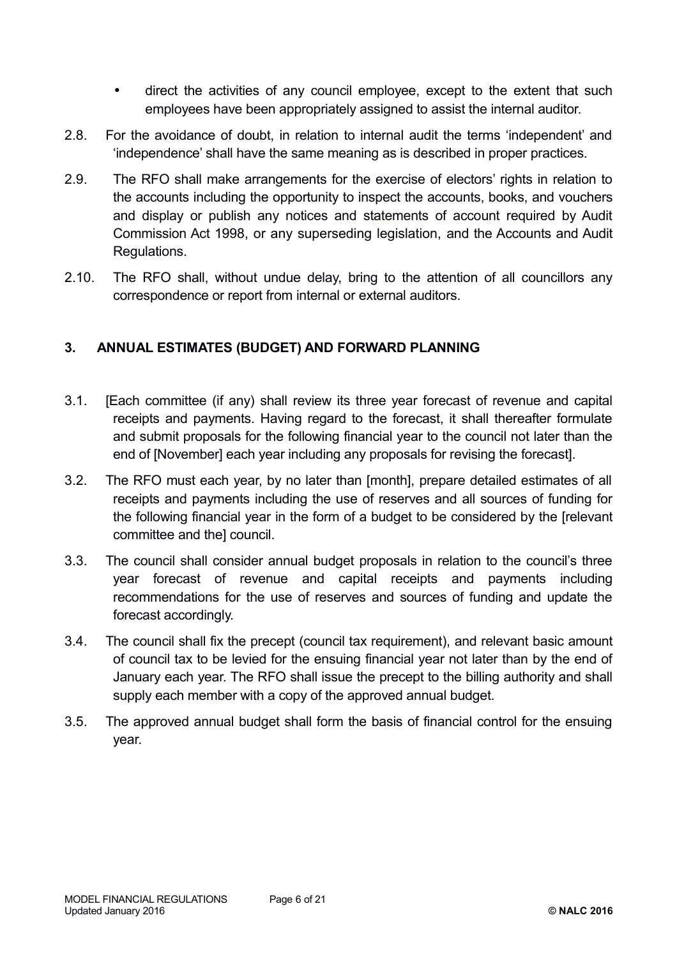- direct the activities of any council employee, except to the extent that such employees have been appropriately assigned to assist the internal auditor.
- 2.8. For the avoidance of doubt, in relation to internal audit the terms 'independent' and 'independence' shall have the same meaning as is described in proper practices.
- 2.9. The RFO shall make arrangements for the exercise of electors' rights in relation to the accounts including the opportunity to inspect the accounts, books, and vouchers and display or publish any notices and statements of account required by Audit Commission Act 1998, or any superseding legislation, and the Accounts and Audit Regulations.
- 2.10. The RFO shall, without undue delay, bring to the attention of all councillors any correspondence or report from internal or external auditors.

### **3. ANNUAL ESTIMATES (BUDGET) AND FORWARD PLANNING**

- 3.1. [Each committee (if any) shall review its three year forecast of revenue and capital receipts and payments. Having regard to the forecast, it shall thereafter formulate and submit proposals for the following financial year to the council not later than the end of [November] each year including any proposals for revising the forecast].
- 3.2. The RFO must each year, by no later than [month], prepare detailed estimates of all receipts and payments including the use of reserves and all sources of funding for the following financial year in the form of a budget to be considered by the [relevant committee and the] council.
- 3.3. The council shall consider annual budget proposals in relation to the council's three year forecast of revenue and capital receipts and payments including recommendations for the use of reserves and sources of funding and update the forecast accordingly.
- 3.4. The council shall fix the precept (council tax requirement), and relevant basic amount of council tax to be levied for the ensuing financial year not later than by the end of January each year. The RFO shall issue the precept to the billing authority and shall supply each member with a copy of the approved annual budget.
- 3.5. The approved annual budget shall form the basis of financial control for the ensuing year.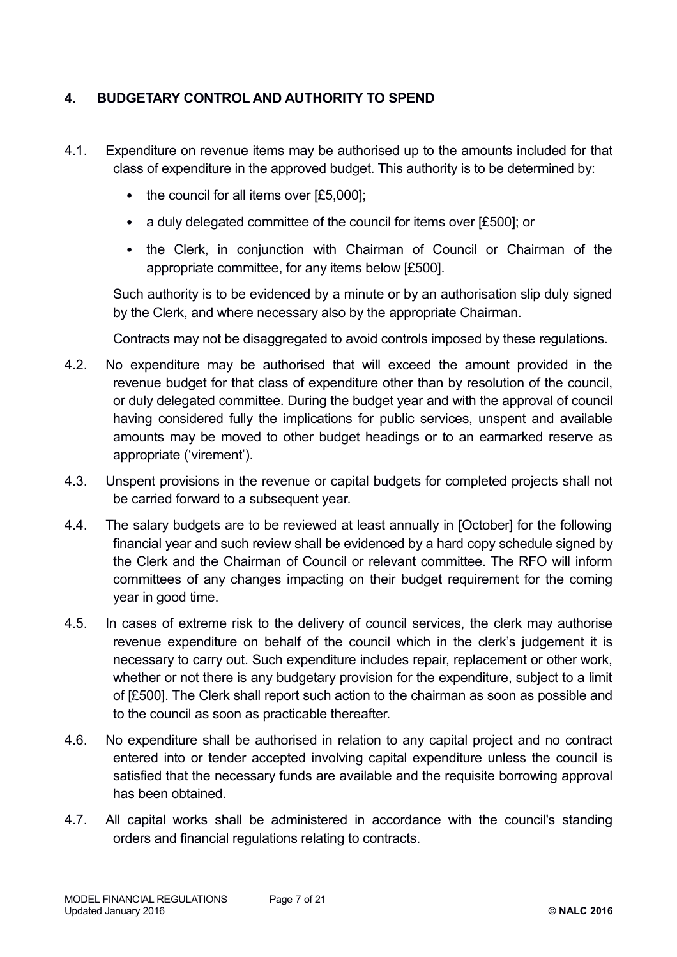## **4. BUDGETARY CONTROL AND AUTHORITY TO SPEND**

- 4.1. Expenditure on revenue items may be authorised up to the amounts included for that class of expenditure in the approved budget. This authority is to be determined by:
	- the council for all items over [£5,000]:
	- a duly delegated committee of the council for items over [£500]; or
	- the Clerk, in conjunction with Chairman of Council or Chairman of the appropriate committee, for any items below [£500].

Such authority is to be evidenced by a minute or by an authorisation slip duly signed by the Clerk, and where necessary also by the appropriate Chairman.

Contracts may not be disaggregated to avoid controls imposed by these regulations.

- 4.2. No expenditure may be authorised that will exceed the amount provided in the revenue budget for that class of expenditure other than by resolution of the council, or duly delegated committee. During the budget year and with the approval of council having considered fully the implications for public services, unspent and available amounts may be moved to other budget headings or to an earmarked reserve as appropriate ('virement').
- 4.3. Unspent provisions in the revenue or capital budgets for completed projects shall not be carried forward to a subsequent year.
- 4.4. The salary budgets are to be reviewed at least annually in [October] for the following financial year and such review shall be evidenced by a hard copy schedule signed by the Clerk and the Chairman of Council or relevant committee. The RFO will inform committees of any changes impacting on their budget requirement for the coming year in good time.
- 4.5. In cases of extreme risk to the delivery of council services, the clerk may authorise revenue expenditure on behalf of the council which in the clerk's judgement it is necessary to carry out. Such expenditure includes repair, replacement or other work, whether or not there is any budgetary provision for the expenditure, subject to a limit of [£500]. The Clerk shall report such action to the chairman as soon as possible and to the council as soon as practicable thereafter.
- 4.6. No expenditure shall be authorised in relation to any capital project and no contract entered into or tender accepted involving capital expenditure unless the council is satisfied that the necessary funds are available and the requisite borrowing approval has been obtained.
- 4.7. All capital works shall be administered in accordance with the council's standing orders and financial regulations relating to contracts.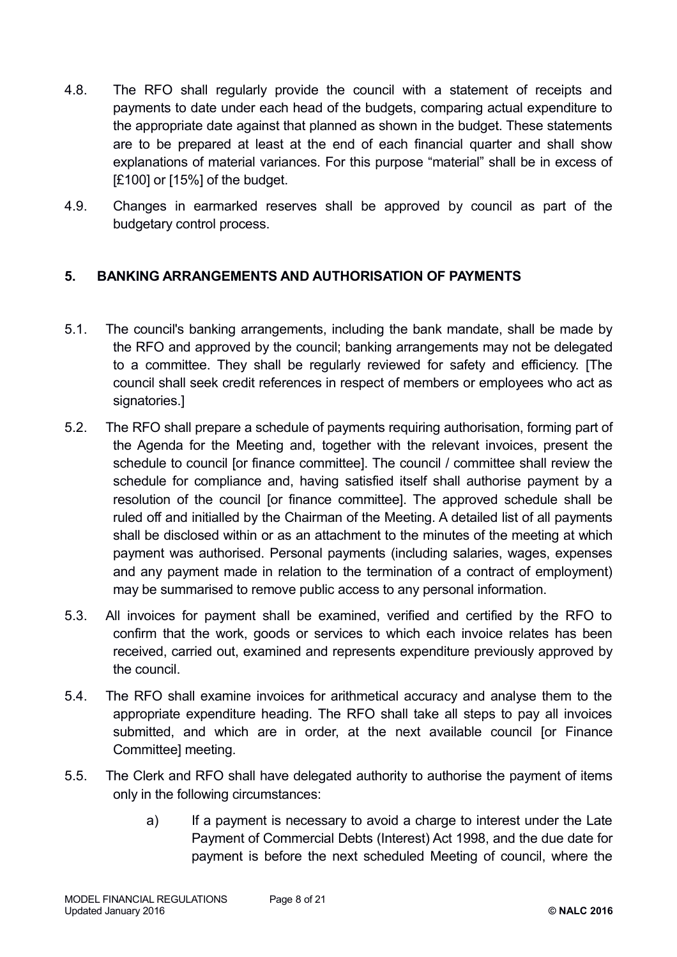- 4.8. The RFO shall regularly provide the council with a statement of receipts and payments to date under each head of the budgets, comparing actual expenditure to the appropriate date against that planned as shown in the budget. These statements are to be prepared at least at the end of each financial quarter and shall show explanations of material variances. For this purpose "material" shall be in excess of [£100] or [15%] of the budget.
- 4.9. Changes in earmarked reserves shall be approved by council as part of the budgetary control process.

### **5. BANKING ARRANGEMENTS AND AUTHORISATION OF PAYMENTS**

- 5.1. The council's banking arrangements, including the bank mandate, shall be made by the RFO and approved by the council; banking arrangements may not be delegated to a committee. They shall be regularly reviewed for safety and efficiency. [The council shall seek credit references in respect of members or employees who act as signatories.]
- 5.2. The RFO shall prepare a schedule of payments requiring authorisation, forming part of the Agenda for the Meeting and, together with the relevant invoices, present the schedule to council [or finance committee]. The council / committee shall review the schedule for compliance and, having satisfied itself shall authorise payment by a resolution of the council [or finance committee]. The approved schedule shall be ruled off and initialled by the Chairman of the Meeting. A detailed list of all payments shall be disclosed within or as an attachment to the minutes of the meeting at which payment was authorised. Personal payments (including salaries, wages, expenses and any payment made in relation to the termination of a contract of employment) may be summarised to remove public access to any personal information.
- 5.3. All invoices for payment shall be examined, verified and certified by the RFO to confirm that the work, goods or services to which each invoice relates has been received, carried out, examined and represents expenditure previously approved by the council.
- 5.4. The RFO shall examine invoices for arithmetical accuracy and analyse them to the appropriate expenditure heading. The RFO shall take all steps to pay all invoices submitted, and which are in order, at the next available council [or Finance Committee] meeting.
- 5.5. The Clerk and RFO shall have delegated authority to authorise the payment of items only in the following circumstances:
	- a) If a payment is necessary to avoid a charge to interest under the Late Payment of Commercial Debts (Interest) Act 1998, and the due date for payment is before the next scheduled Meeting of council, where the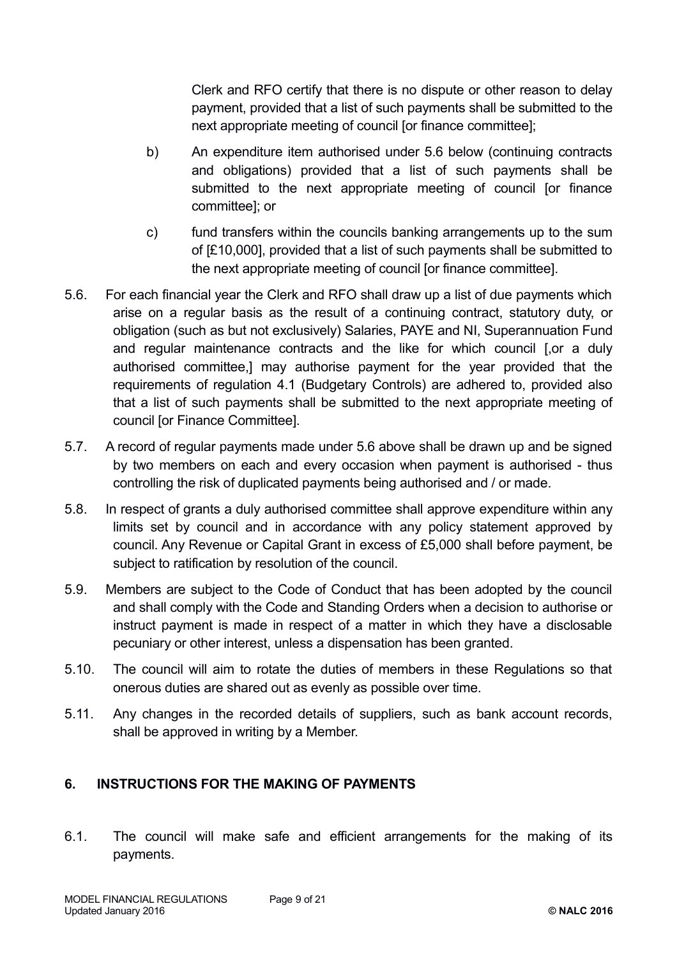Clerk and RFO certify that there is no dispute or other reason to delay payment, provided that a list of such payments shall be submitted to the next appropriate meeting of council [or finance committee];

- b) An expenditure item authorised under 5.6 below (continuing contracts and obligations) provided that a list of such payments shall be submitted to the next appropriate meeting of council for finance committee]; or
- c) fund transfers within the councils banking arrangements up to the sum of [£10,000], provided that a list of such payments shall be submitted to the next appropriate meeting of council [or finance committee].
- 5.6. For each financial year the Clerk and RFO shall draw up a list of due payments which arise on a regular basis as the result of a continuing contract, statutory duty, or obligation (such as but not exclusively) Salaries, PAYE and NI, Superannuation Fund and regular maintenance contracts and the like for which council [,or a duly authorised committee,] may authorise payment for the year provided that the requirements of regulation 4.1 (Budgetary Controls) are adhered to, provided also that a list of such payments shall be submitted to the next appropriate meeting of council [or Finance Committee].
- 5.7. A record of regular payments made under 5.6 above shall be drawn up and be signed by two members on each and every occasion when payment is authorised - thus controlling the risk of duplicated payments being authorised and / or made.
- 5.8. In respect of grants a duly authorised committee shall approve expenditure within any limits set by council and in accordance with any policy statement approved by council. Any Revenue or Capital Grant in excess of £5,000 shall before payment, be subject to ratification by resolution of the council.
- 5.9. Members are subject to the Code of Conduct that has been adopted by the council and shall comply with the Code and Standing Orders when a decision to authorise or instruct payment is made in respect of a matter in which they have a disclosable pecuniary or other interest, unless a dispensation has been granted.
- 5.10. The council will aim to rotate the duties of members in these Regulations so that onerous duties are shared out as evenly as possible over time.
- 5.11. Any changes in the recorded details of suppliers, such as bank account records, shall be approved in writing by a Member.

### **6. INSTRUCTIONS FOR THE MAKING OF PAYMENTS**

6.1. The council will make safe and efficient arrangements for the making of its payments.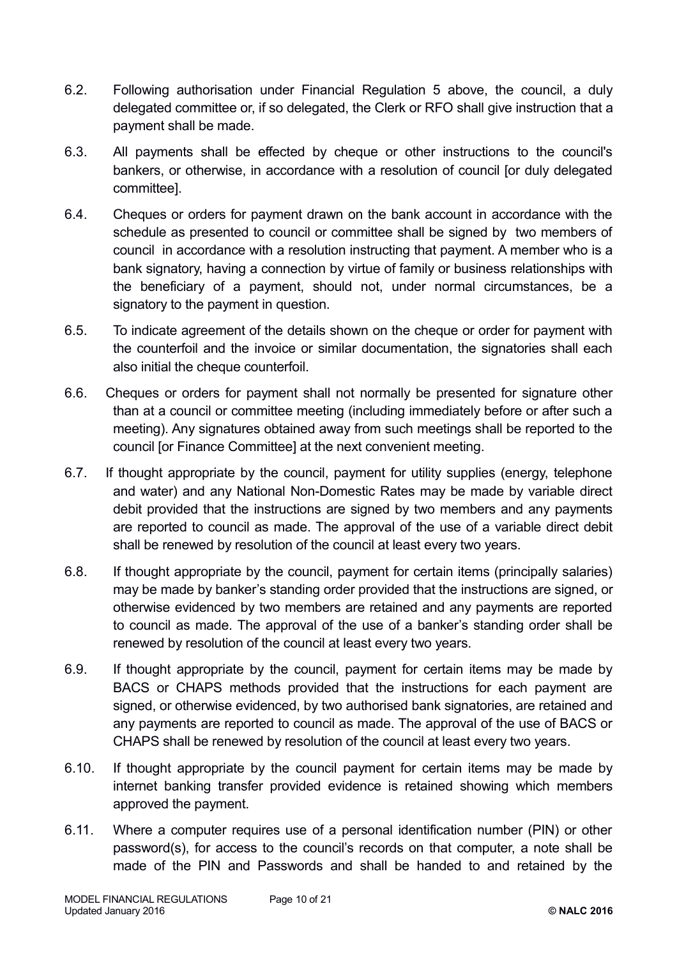- 6.2. Following authorisation under Financial Regulation 5 above, the council, a duly delegated committee or, if so delegated, the Clerk or RFO shall give instruction that a payment shall be made.
- 6.3. All payments shall be effected by cheque or other instructions to the council's bankers, or otherwise, in accordance with a resolution of council [or duly delegated committee].
- 6.4. Cheques or orders for payment drawn on the bank account in accordance with the schedule as presented to council or committee shall be signed by two members of council in accordance with a resolution instructing that payment. A member who is a bank signatory, having a connection by virtue of family or business relationships with the beneficiary of a payment, should not, under normal circumstances, be a signatory to the payment in question.
- 6.5. To indicate agreement of the details shown on the cheque or order for payment with the counterfoil and the invoice or similar documentation, the signatories shall each also initial the cheque counterfoil.
- 6.6. Cheques or orders for payment shall not normally be presented for signature other than at a council or committee meeting (including immediately before or after such a meeting). Any signatures obtained away from such meetings shall be reported to the council [or Finance Committee] at the next convenient meeting.
- 6.7. If thought appropriate by the council, payment for utility supplies (energy, telephone and water) and any National Non-Domestic Rates may be made by variable direct debit provided that the instructions are signed by two members and any payments are reported to council as made. The approval of the use of a variable direct debit shall be renewed by resolution of the council at least every two years.
- 6.8. If thought appropriate by the council, payment for certain items (principally salaries) may be made by banker's standing order provided that the instructions are signed, or otherwise evidenced by two members are retained and any payments are reported to council as made. The approval of the use of a banker's standing order shall be renewed by resolution of the council at least every two years.
- 6.9. If thought appropriate by the council, payment for certain items may be made by BACS or CHAPS methods provided that the instructions for each payment are signed, or otherwise evidenced, by two authorised bank signatories, are retained and any payments are reported to council as made. The approval of the use of BACS or CHAPS shall be renewed by resolution of the council at least every two years.
- 6.10. If thought appropriate by the council payment for certain items may be made by internet banking transfer provided evidence is retained showing which members approved the payment.
- 6.11. Where a computer requires use of a personal identification number (PIN) or other password(s), for access to the council's records on that computer, a note shall be made of the PIN and Passwords and shall be handed to and retained by the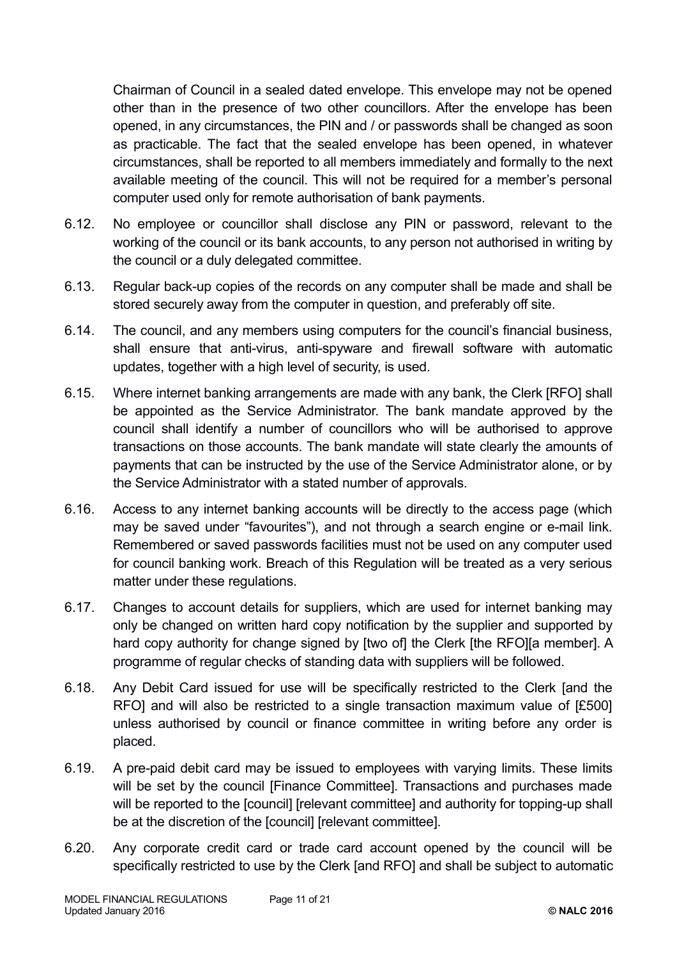Chairman of Council in a sealed dated envelope. This envelope may not be opened other than in the presence of two other councillors. After the envelope has been opened, in any circumstances, the PIN and / or passwords shall be changed as soon as practicable. The fact that the sealed envelope has been opened, in whatever circumstances, shall be reported to all members immediately and formally to the next available meeting of the council. This will not be required for a member's personal computer used only for remote authorisation of bank payments.

- 6.12. No employee or councillor shall disclose any PIN or password, relevant to the working of the council or its bank accounts, to any person not authorised in writing by the council or a duly delegated committee.
- 6.13. Regular back-up copies of the records on any computer shall be made and shall be stored securely away from the computer in question, and preferably off site.
- 6.14. The council, and any members using computers for the council's financial business, shall ensure that anti-virus, anti-spyware and firewall software with automatic updates, together with a high level of security, is used.
- 6.15. Where internet banking arrangements are made with any bank, the Clerk [RFO] shall be appointed as the Service Administrator. The bank mandate approved by the council shall identify a number of councillors who will be authorised to approve transactions on those accounts. The bank mandate will state clearly the amounts of payments that can be instructed by the use of the Service Administrator alone, or by the Service Administrator with a stated number of approvals.
- 6.16. Access to any internet banking accounts will be directly to the access page (which may be saved under "favourites"), and not through a search engine or e-mail link. Remembered or saved passwords facilities must not be used on any computer used for council banking work. Breach of this Regulation will be treated as a very serious matter under these regulations.
- 6.17. Changes to account details for suppliers, which are used for internet banking may only be changed on written hard copy notification by the supplier and supported by hard copy authority for change signed by [two of] the Clerk [the RFO][a member]. A programme of regular checks of standing data with suppliers will be followed.
- 6.18. Any Debit Card issued for use will be specifically restricted to the Clerk [and the RFO] and will also be restricted to a single transaction maximum value of [£500] unless authorised by council or finance committee in writing before any order is placed.
- 6.19. A pre-paid debit card may be issued to employees with varying limits. These limits will be set by the council [Finance Committee]. Transactions and purchases made will be reported to the [council] [relevant committee] and authority for topping-up shall be at the discretion of the [council] [relevant committee].
- 6.20. Any corporate credit card or trade card account opened by the council will be specifically restricted to use by the Clerk [and RFO] and shall be subject to automatic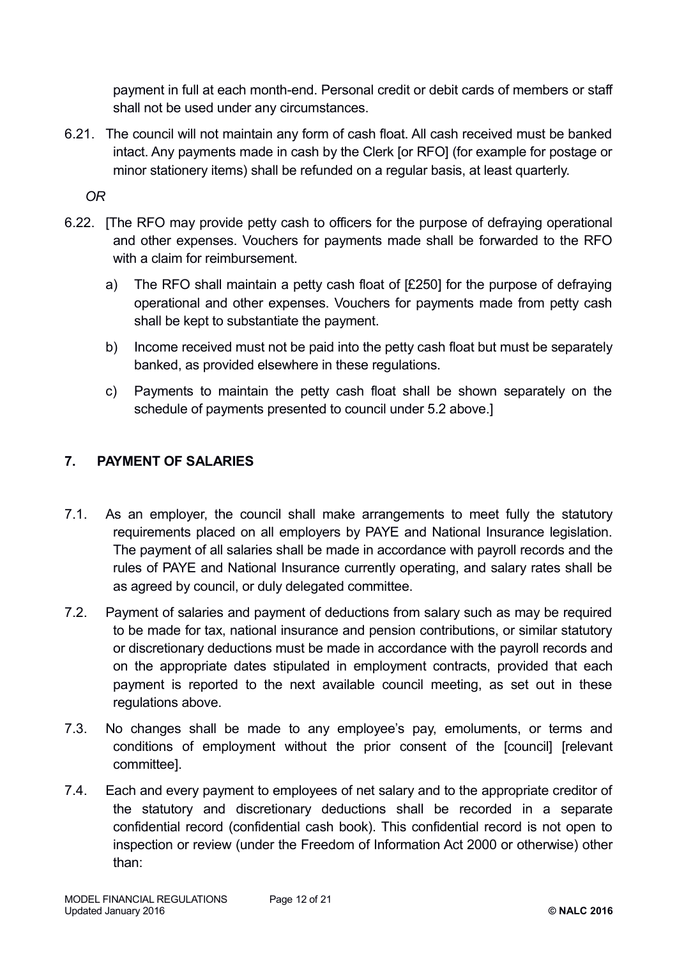payment in full at each month-end. Personal credit or debit cards of members or staff shall not be used under any circumstances.

6.21. The council will not maintain any form of cash float. All cash received must be banked intact. Any payments made in cash by the Clerk [or RFO] (for example for postage or minor stationery items) shall be refunded on a regular basis, at least quarterly.

*OR* 

- 6.22. [The RFO may provide petty cash to officers for the purpose of defraying operational and other expenses. Vouchers for payments made shall be forwarded to the RFO with a claim for reimbursement.
	- a) The RFO shall maintain a petty cash float of [£250] for the purpose of defraying operational and other expenses. Vouchers for payments made from petty cash shall be kept to substantiate the payment.
	- b) Income received must not be paid into the petty cash float but must be separately banked, as provided elsewhere in these regulations.
	- c) Payments to maintain the petty cash float shall be shown separately on the schedule of payments presented to council under 5.2 above.]

# **7. PAYMENT OF SALARIES**

- 7.1. As an employer, the council shall make arrangements to meet fully the statutory requirements placed on all employers by PAYE and National Insurance legislation. The payment of all salaries shall be made in accordance with payroll records and the rules of PAYE and National Insurance currently operating, and salary rates shall be as agreed by council, or duly delegated committee.
- 7.2. Payment of salaries and payment of deductions from salary such as may be required to be made for tax, national insurance and pension contributions, or similar statutory or discretionary deductions must be made in accordance with the payroll records and on the appropriate dates stipulated in employment contracts, provided that each payment is reported to the next available council meeting, as set out in these regulations above.
- 7.3. No changes shall be made to any employee's pay, emoluments, or terms and conditions of employment without the prior consent of the [council] [relevant committee].
- 7.4. Each and every payment to employees of net salary and to the appropriate creditor of the statutory and discretionary deductions shall be recorded in a separate confidential record (confidential cash book). This confidential record is not open to inspection or review (under the Freedom of Information Act 2000 or otherwise) other than: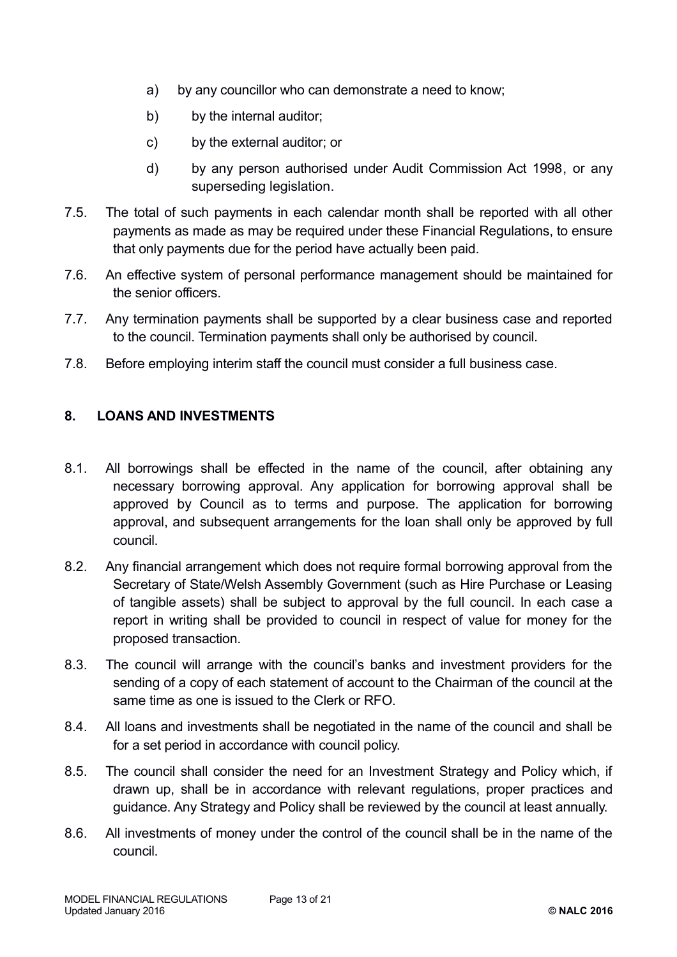- a) by any councillor who can demonstrate a need to know;
- b) by the internal auditor;
- c) by the external auditor; or
- d) by any person authorised under Audit Commission Act 1998, or any superseding legislation.
- 7.5. The total of such payments in each calendar month shall be reported with all other payments as made as may be required under these Financial Regulations, to ensure that only payments due for the period have actually been paid.
- 7.6. An effective system of personal performance management should be maintained for the senior officers.
- 7.7. Any termination payments shall be supported by a clear business case and reported to the council. Termination payments shall only be authorised by council.
- 7.8. Before employing interim staff the council must consider a full business case.

### **8. LOANS AND INVESTMENTS**

- 8.1. All borrowings shall be effected in the name of the council, after obtaining any necessary borrowing approval. Any application for borrowing approval shall be approved by Council as to terms and purpose. The application for borrowing approval, and subsequent arrangements for the loan shall only be approved by full council.
- 8.2. Any financial arrangement which does not require formal borrowing approval from the Secretary of State/Welsh Assembly Government (such as Hire Purchase or Leasing of tangible assets) shall be subject to approval by the full council. In each case a report in writing shall be provided to council in respect of value for money for the proposed transaction.
- 8.3. The council will arrange with the council's banks and investment providers for the sending of a copy of each statement of account to the Chairman of the council at the same time as one is issued to the Clerk or RFO.
- 8.4. All loans and investments shall be negotiated in the name of the council and shall be for a set period in accordance with council policy.
- 8.5. The council shall consider the need for an Investment Strategy and Policy which, if drawn up, shall be in accordance with relevant regulations, proper practices and guidance. Any Strategy and Policy shall be reviewed by the council at least annually.
- 8.6. All investments of money under the control of the council shall be in the name of the council.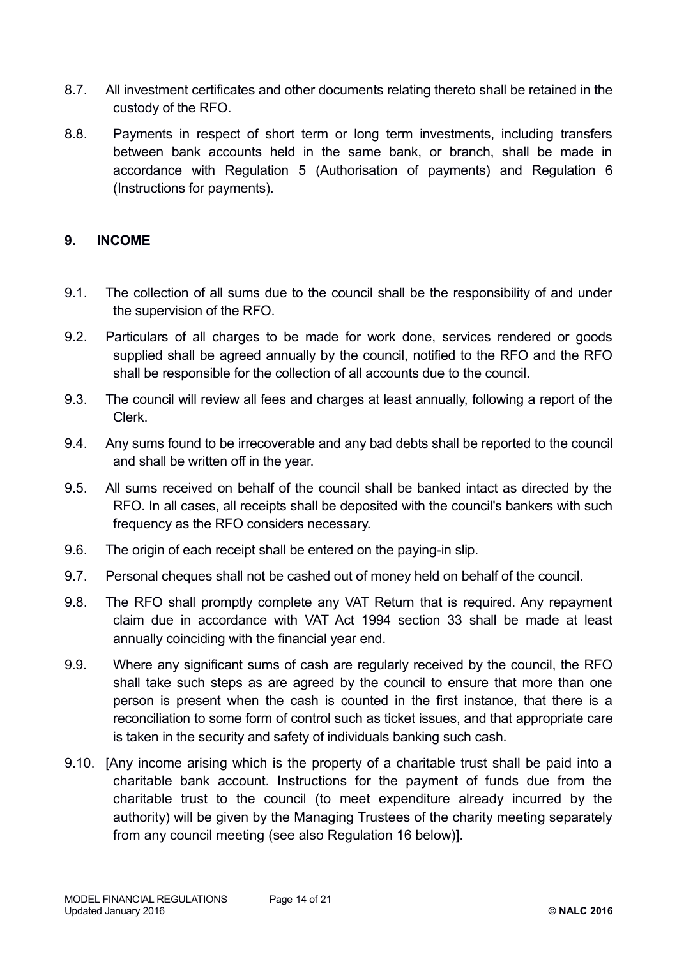- 8.7. All investment certificates and other documents relating thereto shall be retained in the custody of the RFO.
- 8.8. Payments in respect of short term or long term investments, including transfers between bank accounts held in the same bank, or branch, shall be made in accordance with Regulation 5 (Authorisation of payments) and Regulation 6 (Instructions for payments).

#### **9. INCOME**

- 9.1. The collection of all sums due to the council shall be the responsibility of and under the supervision of the RFO.
- 9.2. Particulars of all charges to be made for work done, services rendered or goods supplied shall be agreed annually by the council, notified to the RFO and the RFO shall be responsible for the collection of all accounts due to the council.
- 9.3. The council will review all fees and charges at least annually, following a report of the Clerk.
- 9.4. Any sums found to be irrecoverable and any bad debts shall be reported to the council and shall be written off in the year.
- 9.5. All sums received on behalf of the council shall be banked intact as directed by the RFO. In all cases, all receipts shall be deposited with the council's bankers with such frequency as the RFO considers necessary.
- 9.6. The origin of each receipt shall be entered on the paying-in slip.
- 9.7. Personal cheques shall not be cashed out of money held on behalf of the council.
- 9.8. The RFO shall promptly complete any VAT Return that is required. Any repayment claim due in accordance with VAT Act 1994 section 33 shall be made at least annually coinciding with the financial year end.
- 9.9. Where any significant sums of cash are regularly received by the council, the RFO shall take such steps as are agreed by the council to ensure that more than one person is present when the cash is counted in the first instance, that there is a reconciliation to some form of control such as ticket issues, and that appropriate care is taken in the security and safety of individuals banking such cash.
- 9.10. [Any income arising which is the property of a charitable trust shall be paid into a charitable bank account. Instructions for the payment of funds due from the charitable trust to the council (to meet expenditure already incurred by the authority) will be given by the Managing Trustees of the charity meeting separately from any council meeting (see also Regulation 16 below)].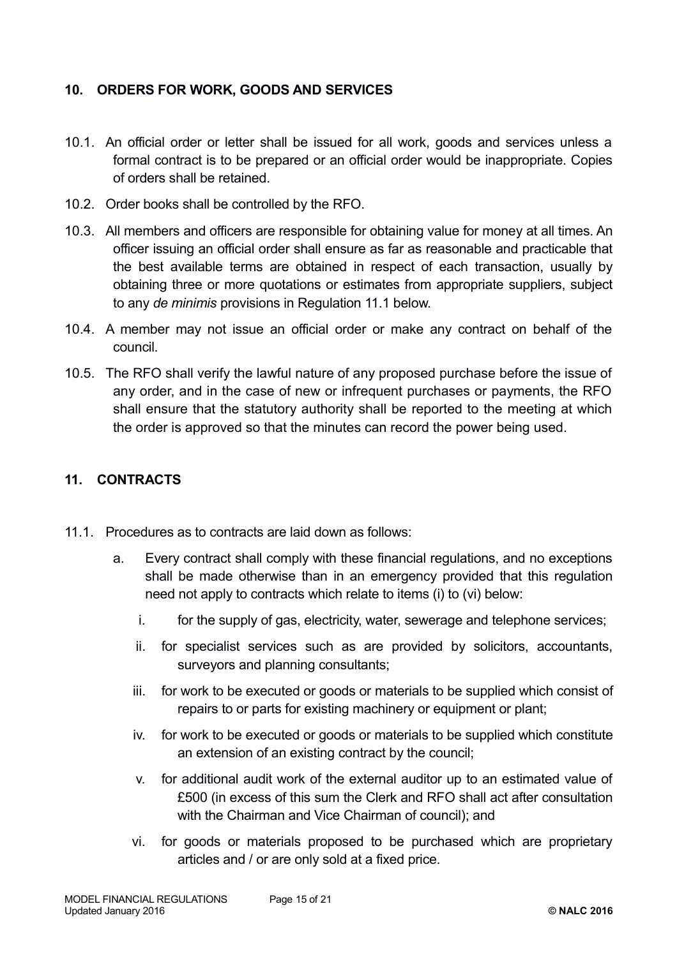### **10. ORDERS FOR WORK, GOODS AND SERVICES**

- 10.1. An official order or letter shall be issued for all work, goods and services unless a formal contract is to be prepared or an official order would be inappropriate. Copies of orders shall be retained.
- 10.2. Order books shall be controlled by the RFO.
- 10.3. All members and officers are responsible for obtaining value for money at all times. An officer issuing an official order shall ensure as far as reasonable and practicable that the best available terms are obtained in respect of each transaction, usually by obtaining three or more quotations or estimates from appropriate suppliers, subject to any *de minimis* provisions in Regulation 11.1 below.
- 10.4. A member may not issue an official order or make any contract on behalf of the council.
- 10.5. The RFO shall verify the lawful nature of any proposed purchase before the issue of any order, and in the case of new or infrequent purchases or payments, the RFO shall ensure that the statutory authority shall be reported to the meeting at which the order is approved so that the minutes can record the power being used.

#### **11. CONTRACTS**

- 11.1. Procedures as to contracts are laid down as follows:
	- a. Every contract shall comply with these financial regulations, and no exceptions shall be made otherwise than in an emergency provided that this regulation need not apply to contracts which relate to items (i) to (vi) below:
		- i. for the supply of gas, electricity, water, sewerage and telephone services;
		- ii. for specialist services such as are provided by solicitors, accountants, surveyors and planning consultants;
		- iii. for work to be executed or goods or materials to be supplied which consist of repairs to or parts for existing machinery or equipment or plant;
		- iv. for work to be executed or goods or materials to be supplied which constitute an extension of an existing contract by the council;
		- v. for additional audit work of the external auditor up to an estimated value of £500 (in excess of this sum the Clerk and RFO shall act after consultation with the Chairman and Vice Chairman of council); and
		- vi. for goods or materials proposed to be purchased which are proprietary articles and / or are only sold at a fixed price.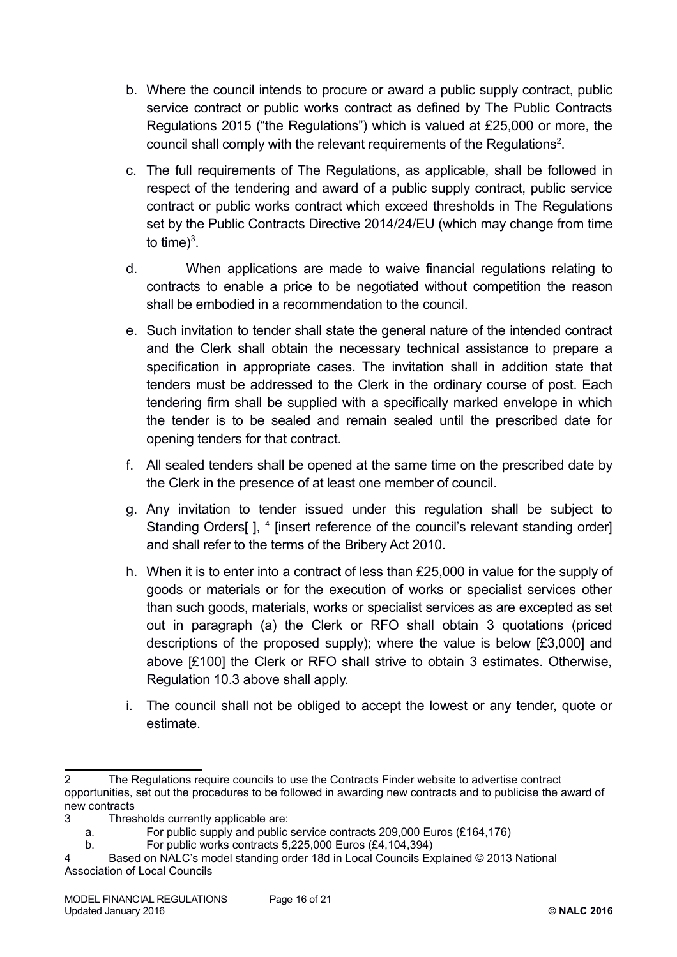- b. Where the council intends to procure or award a public supply contract, public service contract or public works contract as defined by The Public Contracts Regulations 2015 ("the Regulations") which is valued at £25,000 or more, the council shall comply with the relevant requirements of the Regulations<sup>[2](#page-15-0)</sup>.
- c. The full requirements of The Regulations, as applicable, shall be followed in respect of the tendering and award of a public supply contract, public service contract or public works contract which exceed thresholds in The Regulations set by the Public Contracts Directive 2014/24/EU (which may change from time to time)<sup>[3](#page-15-1)</sup>.
- d. When applications are made to waive financial regulations relating to contracts to enable a price to be negotiated without competition the reason shall be embodied in a recommendation to the council.
- e. Such invitation to tender shall state the general nature of the intended contract and the Clerk shall obtain the necessary technical assistance to prepare a specification in appropriate cases. The invitation shall in addition state that tenders must be addressed to the Clerk in the ordinary course of post. Each tendering firm shall be supplied with a specifically marked envelope in which the tender is to be sealed and remain sealed until the prescribed date for opening tenders for that contract.
- f. All sealed tenders shall be opened at the same time on the prescribed date by the Clerk in the presence of at least one member of council.
- g. Any invitation to tender issued under this regulation shall be subject to Standing Orders[], <sup>[4](#page-15-2)</sup> [insert reference of the council's relevant standing order] and shall refer to the terms of the Bribery Act 2010.
- h. When it is to enter into a contract of less than £25,000 in value for the supply of goods or materials or for the execution of works or specialist services other than such goods, materials, works or specialist services as are excepted as set out in paragraph (a) the Clerk or RFO shall obtain 3 quotations (priced descriptions of the proposed supply); where the value is below [£3,000] and above [£100] the Clerk or RFO shall strive to obtain 3 estimates. Otherwise, Regulation 10.3 above shall apply.
- i. The council shall not be obliged to accept the lowest or any tender, quote or estimate.

<span id="page-15-0"></span><sup>2</sup> The Regulations require councils to use the Contracts Finder website to advertise contract opportunities, set out the procedures to be followed in awarding new contracts and to publicise the award of new contracts

<span id="page-15-1"></span><sup>3</sup> Thresholds currently applicable are:

a. For public supply and public service contracts 209,000 Euros (£164,176)

b. For public works contracts 5,225,000 Euros (£4,104,394)

<span id="page-15-2"></span><sup>4</sup> Based on NALC's model standing order 18d in Local Councils Explained © 2013 National Association of Local Councils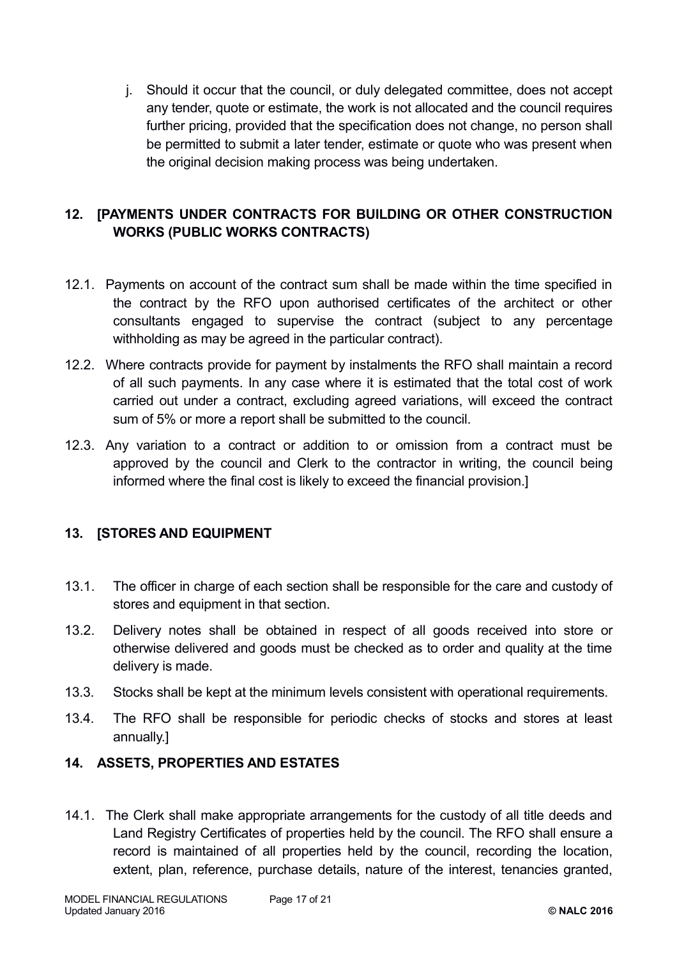j. Should it occur that the council, or duly delegated committee, does not accept any tender, quote or estimate, the work is not allocated and the council requires further pricing, provided that the specification does not change, no person shall be permitted to submit a later tender, estimate or quote who was present when the original decision making process was being undertaken.

# **12. [PAYMENTS UNDER CONTRACTS FOR BUILDING OR OTHER CONSTRUCTION WORKS (PUBLIC WORKS CONTRACTS)**

- 12.1. Payments on account of the contract sum shall be made within the time specified in the contract by the RFO upon authorised certificates of the architect or other consultants engaged to supervise the contract (subject to any percentage withholding as may be agreed in the particular contract).
- 12.2. Where contracts provide for payment by instalments the RFO shall maintain a record of all such payments. In any case where it is estimated that the total cost of work carried out under a contract, excluding agreed variations, will exceed the contract sum of 5% or more a report shall be submitted to the council.
- 12.3. Any variation to a contract or addition to or omission from a contract must be approved by the council and Clerk to the contractor in writing, the council being informed where the final cost is likely to exceed the financial provision.]

# **13. [STORES AND EQUIPMENT**

- 13.1. The officer in charge of each section shall be responsible for the care and custody of stores and equipment in that section.
- 13.2. Delivery notes shall be obtained in respect of all goods received into store or otherwise delivered and goods must be checked as to order and quality at the time delivery is made.
- 13.3. Stocks shall be kept at the minimum levels consistent with operational requirements.
- 13.4. The RFO shall be responsible for periodic checks of stocks and stores at least annually.]

### **14. ASSETS, PROPERTIES AND ESTATES**

14.1. The Clerk shall make appropriate arrangements for the custody of all title deeds and Land Registry Certificates of properties held by the council. The RFO shall ensure a record is maintained of all properties held by the council, recording the location, extent, plan, reference, purchase details, nature of the interest, tenancies granted,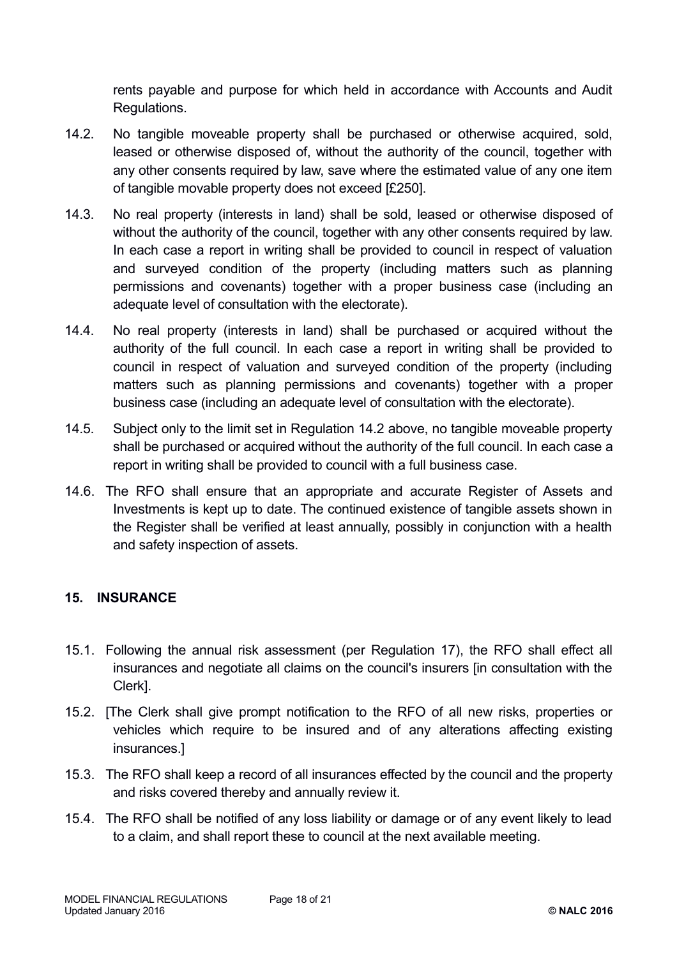rents payable and purpose for which held in accordance with Accounts and Audit Regulations.

- 14.2. No tangible moveable property shall be purchased or otherwise acquired, sold, leased or otherwise disposed of, without the authority of the council, together with any other consents required by law, save where the estimated value of any one item of tangible movable property does not exceed [£250].
- 14.3. No real property (interests in land) shall be sold, leased or otherwise disposed of without the authority of the council, together with any other consents required by law. In each case a report in writing shall be provided to council in respect of valuation and surveyed condition of the property (including matters such as planning permissions and covenants) together with a proper business case (including an adequate level of consultation with the electorate).
- 14.4. No real property (interests in land) shall be purchased or acquired without the authority of the full council. In each case a report in writing shall be provided to council in respect of valuation and surveyed condition of the property (including matters such as planning permissions and covenants) together with a proper business case (including an adequate level of consultation with the electorate).
- 14.5. Subject only to the limit set in Regulation 14.2 above, no tangible moveable property shall be purchased or acquired without the authority of the full council. In each case a report in writing shall be provided to council with a full business case.
- 14.6. The RFO shall ensure that an appropriate and accurate Register of Assets and Investments is kept up to date. The continued existence of tangible assets shown in the Register shall be verified at least annually, possibly in conjunction with a health and safety inspection of assets.

### **15. INSURANCE**

- 15.1. Following the annual risk assessment (per Regulation 17), the RFO shall effect all insurances and negotiate all claims on the council's insurers [in consultation with the Clerk].
- 15.2. [The Clerk shall give prompt notification to the RFO of all new risks, properties or vehicles which require to be insured and of any alterations affecting existing insurances.]
- 15.3. The RFO shall keep a record of all insurances effected by the council and the property and risks covered thereby and annually review it.
- 15.4. The RFO shall be notified of any loss liability or damage or of any event likely to lead to a claim, and shall report these to council at the next available meeting.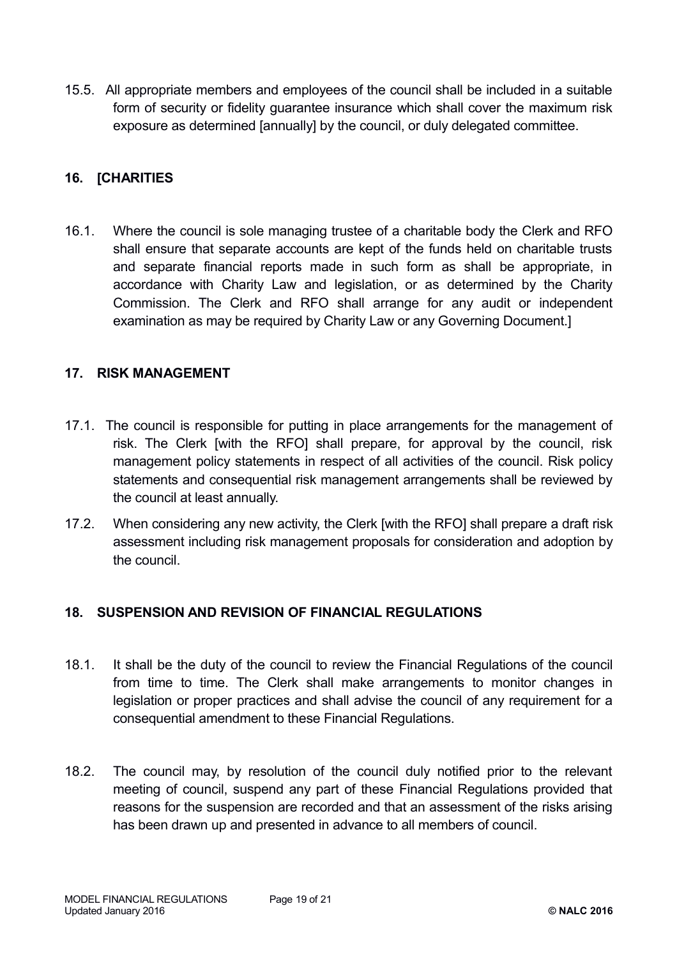15.5. All appropriate members and employees of the council shall be included in a suitable form of security or fidelity guarantee insurance which shall cover the maximum risk exposure as determined [annually] by the council, or duly delegated committee.

## **16. [CHARITIES**

16.1. Where the council is sole managing trustee of a charitable body the Clerk and RFO shall ensure that separate accounts are kept of the funds held on charitable trusts and separate financial reports made in such form as shall be appropriate, in accordance with Charity Law and legislation, or as determined by the Charity Commission. The Clerk and RFO shall arrange for any audit or independent examination as may be required by Charity Law or any Governing Document.]

#### **17. RISK MANAGEMENT**

- 17.1. The council is responsible for putting in place arrangements for the management of risk. The Clerk [with the RFO] shall prepare, for approval by the council, risk management policy statements in respect of all activities of the council. Risk policy statements and consequential risk management arrangements shall be reviewed by the council at least annually.
- 17.2. When considering any new activity, the Clerk [with the RFO] shall prepare a draft risk assessment including risk management proposals for consideration and adoption by the council.

#### **18. SUSPENSION AND REVISION OF FINANCIAL REGULATIONS**

- 18.1. It shall be the duty of the council to review the Financial Regulations of the council from time to time. The Clerk shall make arrangements to monitor changes in legislation or proper practices and shall advise the council of any requirement for a consequential amendment to these Financial Regulations.
- 18.2. The council may, by resolution of the council duly notified prior to the relevant meeting of council, suspend any part of these Financial Regulations provided that reasons for the suspension are recorded and that an assessment of the risks arising has been drawn up and presented in advance to all members of council.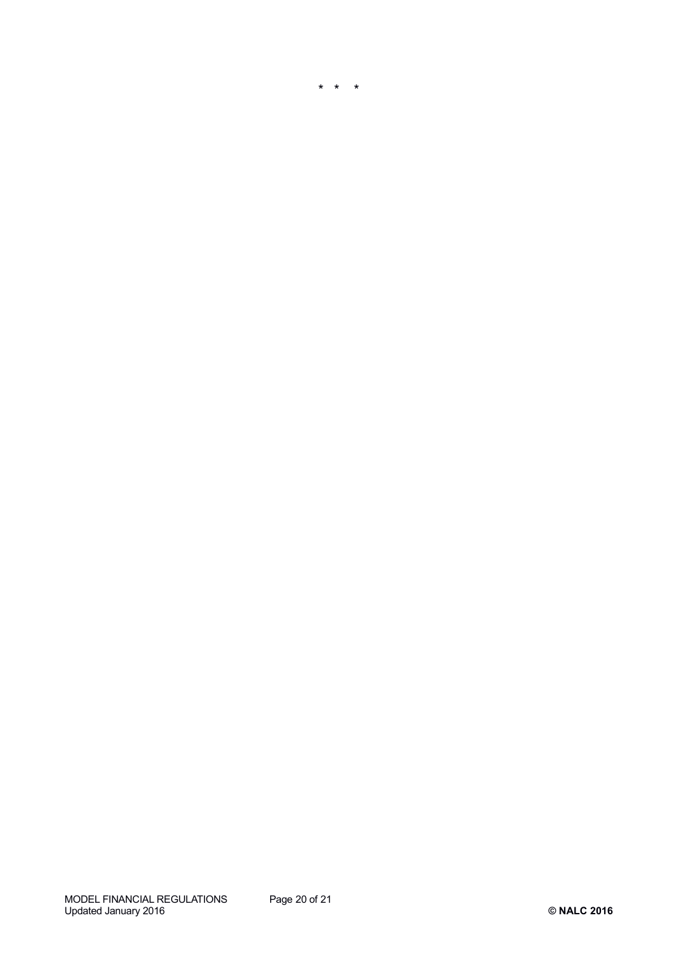MODEL FINANCIAL REGULATIONS Page 20 of 21 Updated January 2016 **© NALC 2016**

\* \* \*